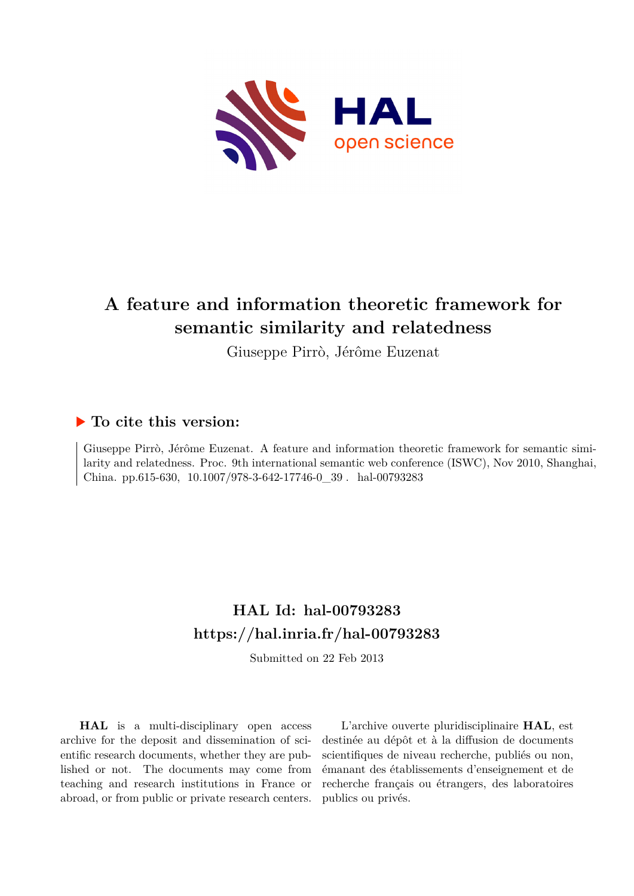

# **A feature and information theoretic framework for semantic similarity and relatedness**

Giuseppe Pirrò, Jérôme Euzenat

# **To cite this version:**

Giuseppe Pirrò, Jérôme Euzenat. A feature and information theoretic framework for semantic similarity and relatedness. Proc. 9th international semantic web conference (ISWC), Nov 2010, Shanghai, China. pp.615-630, 10.1007/978-3-642-17746-0\_39. hal-00793283

# **HAL Id: hal-00793283 <https://hal.inria.fr/hal-00793283>**

Submitted on 22 Feb 2013

**HAL** is a multi-disciplinary open access archive for the deposit and dissemination of scientific research documents, whether they are published or not. The documents may come from teaching and research institutions in France or abroad, or from public or private research centers.

L'archive ouverte pluridisciplinaire **HAL**, est destinée au dépôt et à la diffusion de documents scientifiques de niveau recherche, publiés ou non, émanant des établissements d'enseignement et de recherche français ou étrangers, des laboratoires publics ou privés.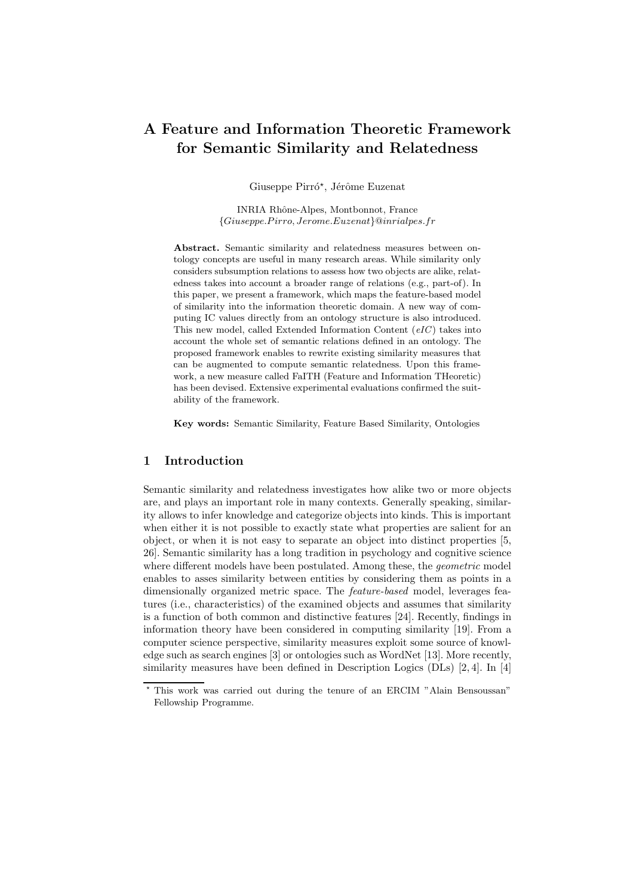# A Feature and Information Theoretic Framework for Semantic Similarity and Relatedness

Giuseppe Pirró\*, Jérôme Euzenat

INRIA Rhˆone-Alpes, Montbonnot, France {Giuseppe.P irro, Jerome.Euzenat}@inrialpes.fr

Abstract. Semantic similarity and relatedness measures between ontology concepts are useful in many research areas. While similarity only considers subsumption relations to assess how two objects are alike, relatedness takes into account a broader range of relations (e.g., part-of). In this paper, we present a framework, which maps the feature-based model of similarity into the information theoretic domain. A new way of computing IC values directly from an ontology structure is also introduced. This new model, called Extended Information Content  $(eIC)$  takes into account the whole set of semantic relations defined in an ontology. The proposed framework enables to rewrite existing similarity measures that can be augmented to compute semantic relatedness. Upon this framework, a new measure called FaITH (Feature and Information THeoretic) has been devised. Extensive experimental evaluations confirmed the suitability of the framework.

Key words: Semantic Similarity, Feature Based Similarity, Ontologies

# 1 Introduction

Semantic similarity and relatedness investigates how alike two or more objects are, and plays an important role in many contexts. Generally speaking, similarity allows to infer knowledge and categorize objects into kinds. This is important when either it is not possible to exactly state what properties are salient for an object, or when it is not easy to separate an object into distinct properties [5, 26]. Semantic similarity has a long tradition in psychology and cognitive science where different models have been postulated. Among these, the *geometric* model enables to asses similarity between entities by considering them as points in a dimensionally organized metric space. The *feature-based* model, leverages features (i.e., characteristics) of the examined objects and assumes that similarity is a function of both common and distinctive features [24]. Recently, findings in information theory have been considered in computing similarity [19]. From a computer science perspective, similarity measures exploit some source of knowledge such as search engines [3] or ontologies such as WordNet [13]. More recently, similarity measures have been defined in Description Logics (DLs) [2, 4]. In [4]

<sup>\*</sup> This work was carried out during the tenure of an ERCIM "Alain Bensoussan" Fellowship Programme.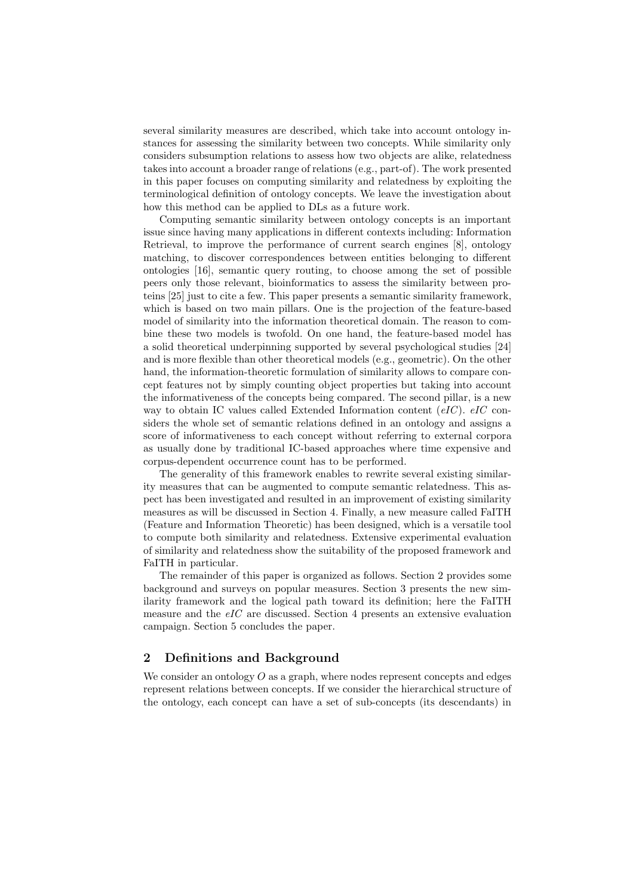several similarity measures are described, which take into account ontology instances for assessing the similarity between two concepts. While similarity only considers subsumption relations to assess how two objects are alike, relatedness takes into account a broader range of relations (e.g., part-of). The work presented in this paper focuses on computing similarity and relatedness by exploiting the terminological definition of ontology concepts. We leave the investigation about how this method can be applied to DLs as a future work.

Computing semantic similarity between ontology concepts is an important issue since having many applications in different contexts including: Information Retrieval, to improve the performance of current search engines [8], ontology matching, to discover correspondences between entities belonging to different ontologies [16], semantic query routing, to choose among the set of possible peers only those relevant, bioinformatics to assess the similarity between proteins [25] just to cite a few. This paper presents a semantic similarity framework, which is based on two main pillars. One is the projection of the feature-based model of similarity into the information theoretical domain. The reason to combine these two models is twofold. On one hand, the feature-based model has a solid theoretical underpinning supported by several psychological studies [24] and is more flexible than other theoretical models (e.g., geometric). On the other hand, the information-theoretic formulation of similarity allows to compare concept features not by simply counting object properties but taking into account the informativeness of the concepts being compared. The second pillar, is a new way to obtain IC values called Extended Information content  $(eIC)$ .  $eIC$  considers the whole set of semantic relations defined in an ontology and assigns a score of informativeness to each concept without referring to external corpora as usually done by traditional IC-based approaches where time expensive and corpus-dependent occurrence count has to be performed.

The generality of this framework enables to rewrite several existing similarity measures that can be augmented to compute semantic relatedness. This aspect has been investigated and resulted in an improvement of existing similarity measures as will be discussed in Section 4. Finally, a new measure called FaITH (Feature and Information Theoretic) has been designed, which is a versatile tool to compute both similarity and relatedness. Extensive experimental evaluation of similarity and relatedness show the suitability of the proposed framework and FaITH in particular.

The remainder of this paper is organized as follows. Section 2 provides some background and surveys on popular measures. Section 3 presents the new similarity framework and the logical path toward its definition; here the FaITH measure and the  $eIC$  are discussed. Section 4 presents an extensive evaluation campaign. Section 5 concludes the paper.

# 2 Definitions and Background

We consider an ontology  $O$  as a graph, where nodes represent concepts and edges represent relations between concepts. If we consider the hierarchical structure of the ontology, each concept can have a set of sub-concepts (its descendants) in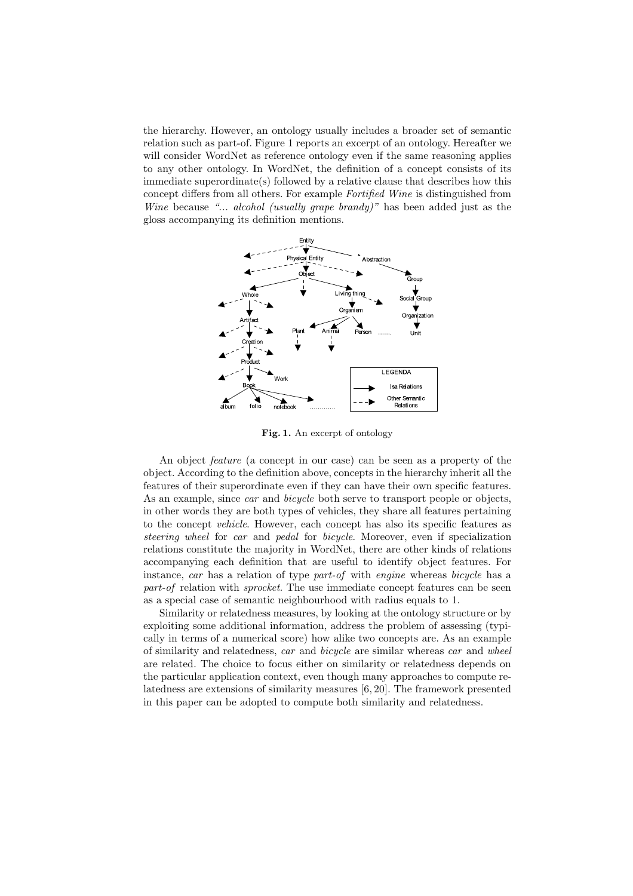the hierarchy. However, an ontology usually includes a broader set of semantic relation such as part-of. Figure 1 reports an excerpt of an ontology. Hereafter we will consider WordNet as reference ontology even if the same reasoning applies to any other ontology. In WordNet, the definition of a concept consists of its immediate superordinate(s) followed by a relative clause that describes how this concept differs from all others. For example Fortified Wine is distinguished from Wine because "... alcohol (usually grape brandy)" has been added just as the gloss accompanying its definition mentions.



Fig. 1. An excerpt of ontology

An object feature (a concept in our case) can be seen as a property of the object. According to the definition above, concepts in the hierarchy inherit all the features of their superordinate even if they can have their own specific features. As an example, since *car* and *bicycle* both serve to transport people or objects, in other words they are both types of vehicles, they share all features pertaining to the concept vehicle. However, each concept has also its specific features as steering wheel for car and pedal for bicycle. Moreover, even if specialization relations constitute the majority in WordNet, there are other kinds of relations accompanying each definition that are useful to identify object features. For instance, car has a relation of type part-of with engine whereas bicycle has a part-of relation with *sprocket*. The use immediate concept features can be seen as a special case of semantic neighbourhood with radius equals to 1.

Similarity or relatedness measures, by looking at the ontology structure or by exploiting some additional information, address the problem of assessing (typically in terms of a numerical score) how alike two concepts are. As an example of similarity and relatedness, car and bicycle are similar whereas car and wheel are related. The choice to focus either on similarity or relatedness depends on the particular application context, even though many approaches to compute relatedness are extensions of similarity measures [6, 20]. The framework presented in this paper can be adopted to compute both similarity and relatedness.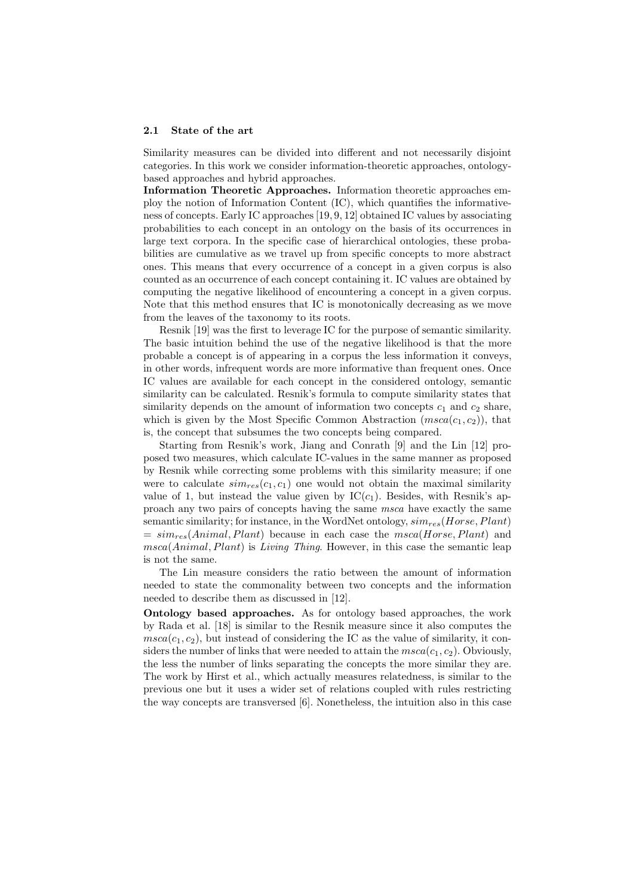#### 2.1 State of the art

Similarity measures can be divided into different and not necessarily disjoint categories. In this work we consider information-theoretic approaches, ontologybased approaches and hybrid approaches.

Information Theoretic Approaches. Information theoretic approaches employ the notion of Information Content (IC), which quantifies the informativeness of concepts. Early IC approaches [19, 9, 12] obtained IC values by associating probabilities to each concept in an ontology on the basis of its occurrences in large text corpora. In the specific case of hierarchical ontologies, these probabilities are cumulative as we travel up from specific concepts to more abstract ones. This means that every occurrence of a concept in a given corpus is also counted as an occurrence of each concept containing it. IC values are obtained by computing the negative likelihood of encountering a concept in a given corpus. Note that this method ensures that IC is monotonically decreasing as we move from the leaves of the taxonomy to its roots.

Resnik [19] was the first to leverage IC for the purpose of semantic similarity. The basic intuition behind the use of the negative likelihood is that the more probable a concept is of appearing in a corpus the less information it conveys, in other words, infrequent words are more informative than frequent ones. Once IC values are available for each concept in the considered ontology, semantic similarity can be calculated. Resnik's formula to compute similarity states that similarity depends on the amount of information two concepts  $c_1$  and  $c_2$  share, which is given by the Most Specific Common Abstraction  $(msca(c_1, c_2))$ , that is, the concept that subsumes the two concepts being compared.

Starting from Resnik's work, Jiang and Conrath [9] and the Lin [12] proposed two measures, which calculate IC-values in the same manner as proposed by Resnik while correcting some problems with this similarity measure; if one were to calculate  $sim_{res}(c_1, c_1)$  one would not obtain the maximal similarity value of 1, but instead the value given by  $IC(c_1)$ . Besides, with Resnik's approach any two pairs of concepts having the same msca have exactly the same semantic similarity; for instance, in the WordNet ontology,  $sim_{res}(Horse, Plant)$  $= sim_{res}(Animal, Plant)$  because in each case the  $msca(Horse, Plant)$  and msca(Animal, Plant) is Living Thing. However, in this case the semantic leap is not the same.

The Lin measure considers the ratio between the amount of information needed to state the commonality between two concepts and the information needed to describe them as discussed in [12].

Ontology based approaches. As for ontology based approaches, the work by Rada et al. [18] is similar to the Resnik measure since it also computes the  $msca(c_1, c_2)$ , but instead of considering the IC as the value of similarity, it considers the number of links that were needed to attain the  $msca(c_1, c_2)$ . Obviously, the less the number of links separating the concepts the more similar they are. The work by Hirst et al., which actually measures relatedness, is similar to the previous one but it uses a wider set of relations coupled with rules restricting the way concepts are transversed [6]. Nonetheless, the intuition also in this case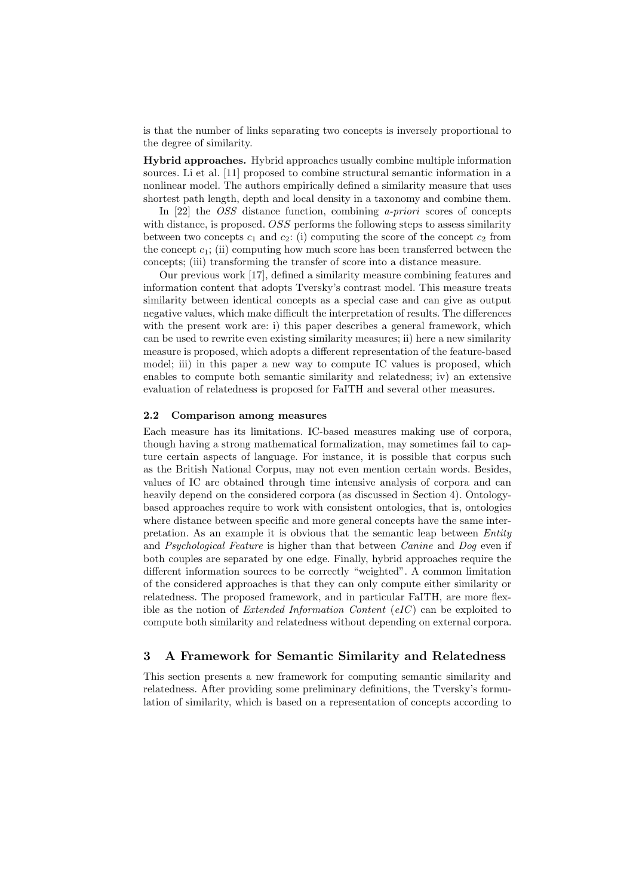is that the number of links separating two concepts is inversely proportional to the degree of similarity.

Hybrid approaches. Hybrid approaches usually combine multiple information sources. Li et al. [11] proposed to combine structural semantic information in a nonlinear model. The authors empirically defined a similarity measure that uses shortest path length, depth and local density in a taxonomy and combine them.

In [22] the OSS distance function, combining a-priori scores of concepts with distance, is proposed. OSS performs the following steps to assess similarity between two concepts  $c_1$  and  $c_2$ : (i) computing the score of the concept  $c_2$  from the concept  $c_1$ ; (ii) computing how much score has been transferred between the concepts; (iii) transforming the transfer of score into a distance measure.

Our previous work [17], defined a similarity measure combining features and information content that adopts Tversky's contrast model. This measure treats similarity between identical concepts as a special case and can give as output negative values, which make difficult the interpretation of results. The differences with the present work are: i) this paper describes a general framework, which can be used to rewrite even existing similarity measures; ii) here a new similarity measure is proposed, which adopts a different representation of the feature-based model; iii) in this paper a new way to compute IC values is proposed, which enables to compute both semantic similarity and relatedness; iv) an extensive evaluation of relatedness is proposed for FaITH and several other measures.

#### 2.2 Comparison among measures

Each measure has its limitations. IC-based measures making use of corpora, though having a strong mathematical formalization, may sometimes fail to capture certain aspects of language. For instance, it is possible that corpus such as the British National Corpus, may not even mention certain words. Besides, values of IC are obtained through time intensive analysis of corpora and can heavily depend on the considered corpora (as discussed in Section 4). Ontologybased approaches require to work with consistent ontologies, that is, ontologies where distance between specific and more general concepts have the same interpretation. As an example it is obvious that the semantic leap between Entity and Psychological Feature is higher than that between Canine and Dog even if both couples are separated by one edge. Finally, hybrid approaches require the different information sources to be correctly "weighted". A common limitation of the considered approaches is that they can only compute either similarity or relatedness. The proposed framework, and in particular FaITH, are more flexible as the notion of *Extended Information Content*  $(eIC)$  can be exploited to compute both similarity and relatedness without depending on external corpora.

## 3 A Framework for Semantic Similarity and Relatedness

This section presents a new framework for computing semantic similarity and relatedness. After providing some preliminary definitions, the Tversky's formulation of similarity, which is based on a representation of concepts according to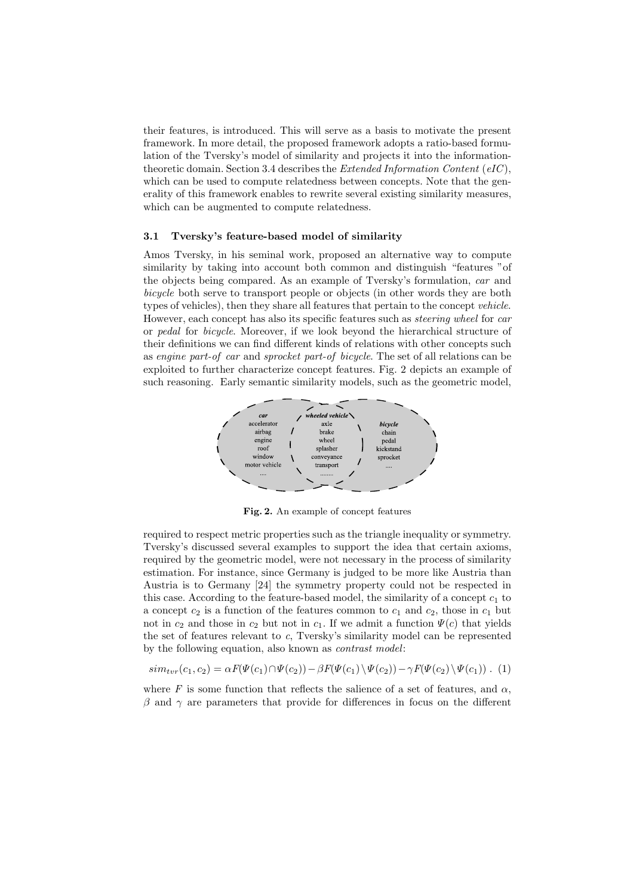their features, is introduced. This will serve as a basis to motivate the present framework. In more detail, the proposed framework adopts a ratio-based formulation of the Tversky's model of similarity and projects it into the informationtheoretic domain. Section 3.4 describes the *Extended Information Content* (eIC), which can be used to compute relatedness between concepts. Note that the generality of this framework enables to rewrite several existing similarity measures, which can be augmented to compute relatedness.

#### 3.1 Tversky's feature-based model of similarity

Amos Tversky, in his seminal work, proposed an alternative way to compute similarity by taking into account both common and distinguish "features "of the objects being compared. As an example of Tversky's formulation, car and bicycle both serve to transport people or objects (in other words they are both types of vehicles), then they share all features that pertain to the concept vehicle. However, each concept has also its specific features such as steering wheel for car or pedal for bicycle. Moreover, if we look beyond the hierarchical structure of their definitions we can find different kinds of relations with other concepts such as engine part-of car and sprocket part-of bicycle. The set of all relations can be exploited to further characterize concept features. Fig. 2 depicts an example of such reasoning. Early semantic similarity models, such as the geometric model,



Fig. 2. An example of concept features

required to respect metric properties such as the triangle inequality or symmetry. Tversky's discussed several examples to support the idea that certain axioms, required by the geometric model, were not necessary in the process of similarity estimation. For instance, since Germany is judged to be more like Austria than Austria is to Germany [24] the symmetry property could not be respected in this case. According to the feature-based model, the similarity of a concept  $c_1$  to a concept  $c_2$  is a function of the features common to  $c_1$  and  $c_2$ , those in  $c_1$  but not in  $c_2$  and those in  $c_2$  but not in  $c_1$ . If we admit a function  $\Psi(c)$  that yields the set of features relevant to c, Tversky's similarity model can be represented by the following equation, also known as contrast model:

$$
sim_{tvr}(c_1, c_2) = \alpha F(\Psi(c_1) \cap \Psi(c_2)) - \beta F(\Psi(c_1) \setminus \Psi(c_2)) - \gamma F(\Psi(c_2) \setminus \Psi(c_1)). \tag{1}
$$

where F is some function that reflects the salience of a set of features, and  $\alpha$ ,  $\beta$  and  $\gamma$  are parameters that provide for differences in focus on the different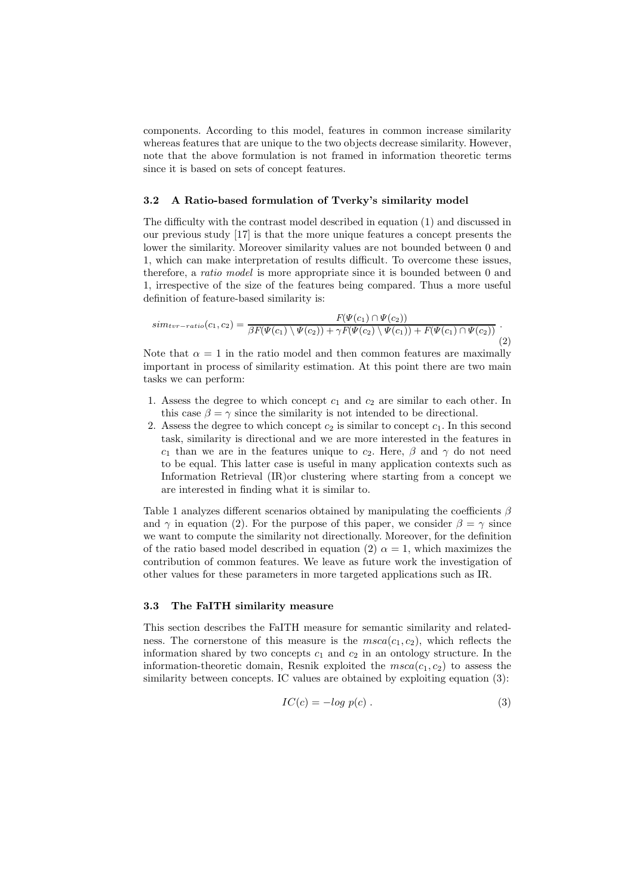components. According to this model, features in common increase similarity whereas features that are unique to the two objects decrease similarity. However, note that the above formulation is not framed in information theoretic terms since it is based on sets of concept features.

#### 3.2 A Ratio-based formulation of Tverky's similarity model

The difficulty with the contrast model described in equation (1) and discussed in our previous study [17] is that the more unique features a concept presents the lower the similarity. Moreover similarity values are not bounded between 0 and 1, which can make interpretation of results difficult. To overcome these issues, therefore, a ratio model is more appropriate since it is bounded between 0 and 1, irrespective of the size of the features being compared. Thus a more useful definition of feature-based similarity is:

$$
sim_{tr-ratio}(c_1, c_2) = \frac{F(\Psi(c_1) \cap \Psi(c_2))}{\beta F(\Psi(c_1) \setminus \Psi(c_2)) + \gamma F(\Psi(c_2) \setminus \Psi(c_1)) + F(\Psi(c_1) \cap \Psi(c_2))}
$$
(2)

Note that  $\alpha = 1$  in the ratio model and then common features are maximally important in process of similarity estimation. At this point there are two main tasks we can perform:

- 1. Assess the degree to which concept  $c_1$  and  $c_2$  are similar to each other. In this case  $\beta = \gamma$  since the similarity is not intended to be directional.
- 2. Assess the degree to which concept  $c_2$  is similar to concept  $c_1$ . In this second task, similarity is directional and we are more interested in the features in  $c_1$  than we are in the features unique to  $c_2$ . Here,  $\beta$  and  $\gamma$  do not need to be equal. This latter case is useful in many application contexts such as Information Retrieval (IR)or clustering where starting from a concept we are interested in finding what it is similar to.

Table 1 analyzes different scenarios obtained by manipulating the coefficients  $\beta$ and  $\gamma$  in equation (2). For the purpose of this paper, we consider  $\beta = \gamma$  since we want to compute the similarity not directionally. Moreover, for the definition of the ratio based model described in equation (2)  $\alpha = 1$ , which maximizes the contribution of common features. We leave as future work the investigation of other values for these parameters in more targeted applications such as IR.

#### 3.3 The FaITH similarity measure

This section describes the FaITH measure for semantic similarity and relatedness. The cornerstone of this measure is the  $msca(c_1, c_2)$ , which reflects the information shared by two concepts  $c_1$  and  $c_2$  in an ontology structure. In the information-theoretic domain, Resnik exploited the  $msca(c_1, c_2)$  to assess the similarity between concepts. IC values are obtained by exploiting equation  $(3)$ :

$$
IC(c) = -\log p(c) . \tag{3}
$$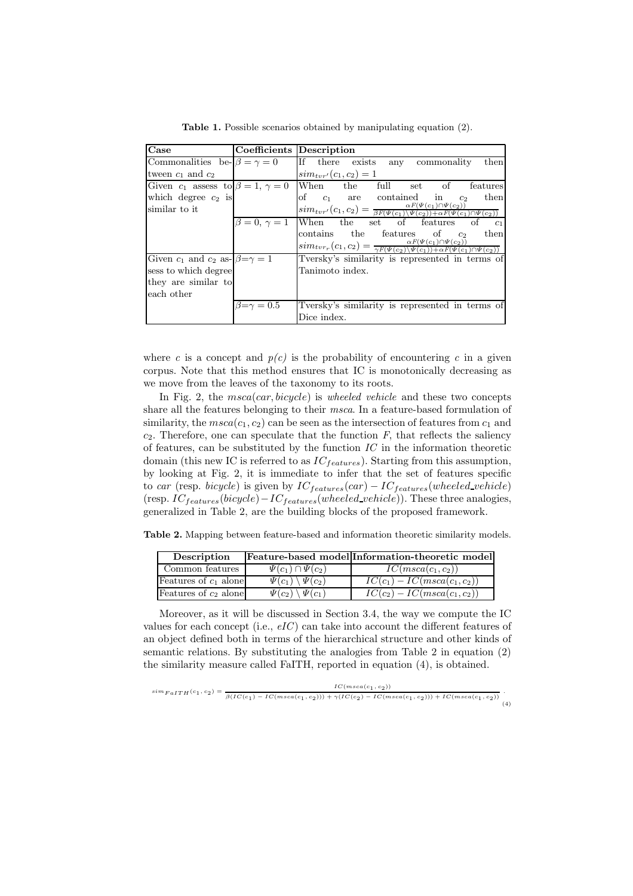| Case                                           | <b>Coefficients Description</b> |                                                                                                                                                                  |
|------------------------------------------------|---------------------------------|------------------------------------------------------------------------------------------------------------------------------------------------------------------|
|                                                |                                 | Commonalities be- $\beta = \gamma = 0$ If there exists any commonality<br>then                                                                                   |
| tween $c_1$ and $c_2$                          |                                 | $sim_{tvr'}(c_1, c_2) = 1$                                                                                                                                       |
|                                                |                                 | Given $c_1$ assess to $\beta = 1$ , $\gamma = 0$ When the full set of features                                                                                   |
| which degree $c_2$ is                          |                                 | of $c_1$ are contained in $c_2$ then                                                                                                                             |
| similar to it                                  |                                 | $\boxed{ sim_{tvr'}(c_1, c_2) = \frac{\alpha F(\Psi(c_1) \cap \Psi(c_2))}{\beta F(\Psi(c_1) \setminus \Psi(c_2)) + \alpha F(\Psi(c_1) \cap \Psi(c_2))}}$         |
|                                                |                                 | $\beta = 0, \gamma = 1$ When the set of features of<br>$\overline{c_1}$                                                                                          |
|                                                |                                 | contains the features of $c_2$<br>then                                                                                                                           |
|                                                |                                 | $\left  sim_{tvr_r}(c_1, c_2) = \frac{\alpha F(\Psi(c_1) \cap \Psi(c_2))}{\gamma F(\Psi(c_2) \setminus \Psi(c_1)) + \alpha F(\Psi(c_1) \cap \Psi(c_2))} \right $ |
| Given $c_1$ and $c_2$ as- $\beta = \gamma = 1$ |                                 | Tversky's similarity is represented in terms of                                                                                                                  |
| sess to which degree                           |                                 | Tanimoto index.                                                                                                                                                  |
| they are similar to                            |                                 |                                                                                                                                                                  |
| each other                                     |                                 |                                                                                                                                                                  |
|                                                | $\beta=\gamma=0.5$              | Tversky's similarity is represented in terms of                                                                                                                  |
|                                                |                                 | Dice index.                                                                                                                                                      |

Table 1. Possible scenarios obtained by manipulating equation (2).

where c is a concept and  $p(c)$  is the probability of encountering c in a given corpus. Note that this method ensures that IC is monotonically decreasing as we move from the leaves of the taxonomy to its roots.

In Fig. 2, the  $msca (car, bicycle)$  is wheeled vehicle and these two concepts share all the features belonging to their msca. In a feature-based formulation of similarity, the  $msca(c_1, c_2)$  can be seen as the intersection of features from  $c_1$  and  $c_2$ . Therefore, one can speculate that the function  $F$ , that reflects the saliency of features, can be substituted by the function  $IC$  in the information theoretic domain (this new IC is referred to as  $IC_{features}$ ). Starting from this assumption, by looking at Fig. 2, it is immediate to infer that the set of features specific to car (resp. bicycle) is given by  $IC_{features}(car) - IC_{features}(wherelabeled\_ vehicle)$ (resp.  $IC_{features}(bicycle) - IC_{features}(wheel_c)$ ). These three analogies, generalized in Table 2, are the building blocks of the proposed framework.

Table 2. Mapping between feature-based and information theoretic similarity models.

| Description             |                                 | Feature-based model Information-theoretic model |
|-------------------------|---------------------------------|-------------------------------------------------|
| Common features         | $\Psi(c_1) \cap \Psi(c_2)$      | $IC(msca(c_1, c_2))$                            |
| Features of $c_1$ alone | $\Psi(c_1) \setminus \Psi(c_2)$ | $IC(c_1) - IC(msca(c_1, c_2))$                  |
| Features of $c_2$ alone | $\Psi(c_2) \setminus \Psi(c_1)$ | $IC(c_2) - IC(msca(c_1, c_2))$                  |

Moreover, as it will be discussed in Section 3.4, the way we compute the IC values for each concept (i.e.,  $eIC$ ) can take into account the different features of an object defined both in terms of the hierarchical structure and other kinds of semantic relations. By substituting the analogies from Table 2 in equation (2) the similarity measure called FaITH, reported in equation (4), is obtained.

$$
sim_{FaITH}(c_1,c_2) = \frac{IC(msca(c_1,c_2))}{\beta (IC(c_1) - IC(msca(c_1,c_2))) + \gamma (IC(c_2) - IC(msca(c_1,c_2))) + IC(msca(c_1,c_2))}.
$$
(4)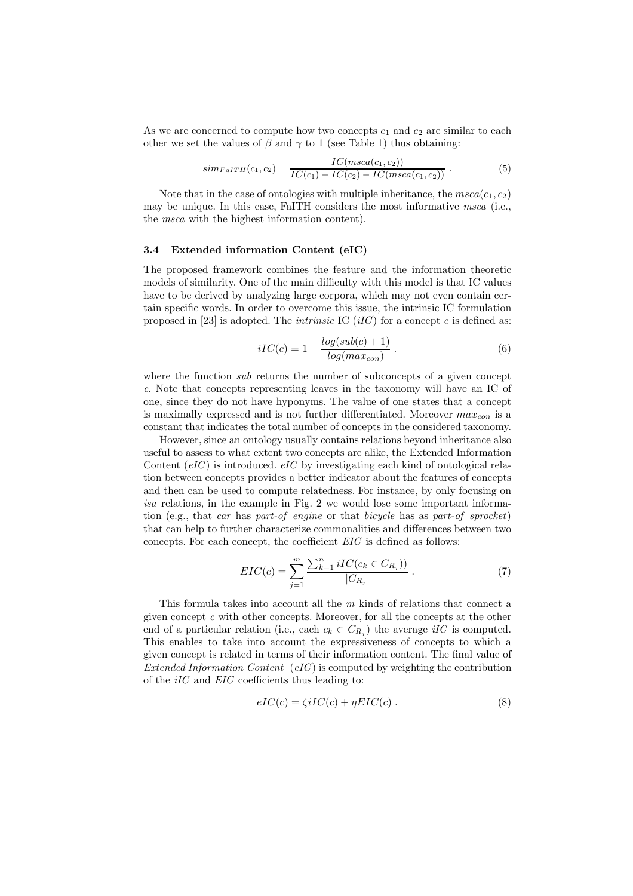As we are concerned to compute how two concepts  $c_1$  and  $c_2$  are similar to each other we set the values of  $\beta$  and  $\gamma$  to 1 (see Table 1) thus obtaining:

$$
sim_{FaITH}(c_1, c_2) = \frac{IC(msca(c_1, c_2))}{IC(c_1) + IC(c_2) - IC(msca(c_1, c_2))}.
$$
\n(5)

Note that in the case of ontologies with multiple inheritance, the  $msca(c_1, c_2)$ may be unique. In this case, FaITH considers the most informative msca (i.e., the msca with the highest information content).

#### 3.4 Extended information Content (eIC)

The proposed framework combines the feature and the information theoretic models of similarity. One of the main difficulty with this model is that IC values have to be derived by analyzing large corpora, which may not even contain certain specific words. In order to overcome this issue, the intrinsic IC formulation proposed in [23] is adopted. The *intrinsic* IC (*iIC*) for a concept c is defined as:

$$
iIC(c) = 1 - \frac{\log(\text{sub}(c) + 1)}{\log(\text{max}_{con})} \,. \tag{6}
$$

where the function *sub* returns the number of subconcepts of a given concept c. Note that concepts representing leaves in the taxonomy will have an IC of one, since they do not have hyponyms. The value of one states that a concept is maximally expressed and is not further differentiated. Moreover  $max_{con}$  is a constant that indicates the total number of concepts in the considered taxonomy.

However, since an ontology usually contains relations beyond inheritance also useful to assess to what extent two concepts are alike, the Extended Information Content  $(eIC)$  is introduced.  $eIC$  by investigating each kind of ontological relation between concepts provides a better indicator about the features of concepts and then can be used to compute relatedness. For instance, by only focusing on isa relations, in the example in Fig. 2 we would lose some important information (e.g., that car has part-of engine or that bicycle has as part-of sprocket) that can help to further characterize commonalities and differences between two concepts. For each concept, the coefficient EIC is defined as follows:

$$
EIC(c) = \sum_{j=1}^{m} \frac{\sum_{k=1}^{n} iIC(c_k \in C_{R_j}))}{|C_{R_j}|}.
$$
 (7)

This formula takes into account all the  $m$  kinds of relations that connect a given concept  $c$  with other concepts. Moreover, for all the concepts at the other end of a particular relation (i.e., each  $c_k \in C_{R_i}$ ) the average iIC is computed. This enables to take into account the expressiveness of concepts to which a given concept is related in terms of their information content. The final value of Extended Information Content (eIC) is computed by weighting the contribution of the  $iIC$  and  $EIC$  coefficients thus leading to:

$$
eIC(c) = \zeta iIC(c) + \eta EIC(c) . \tag{8}
$$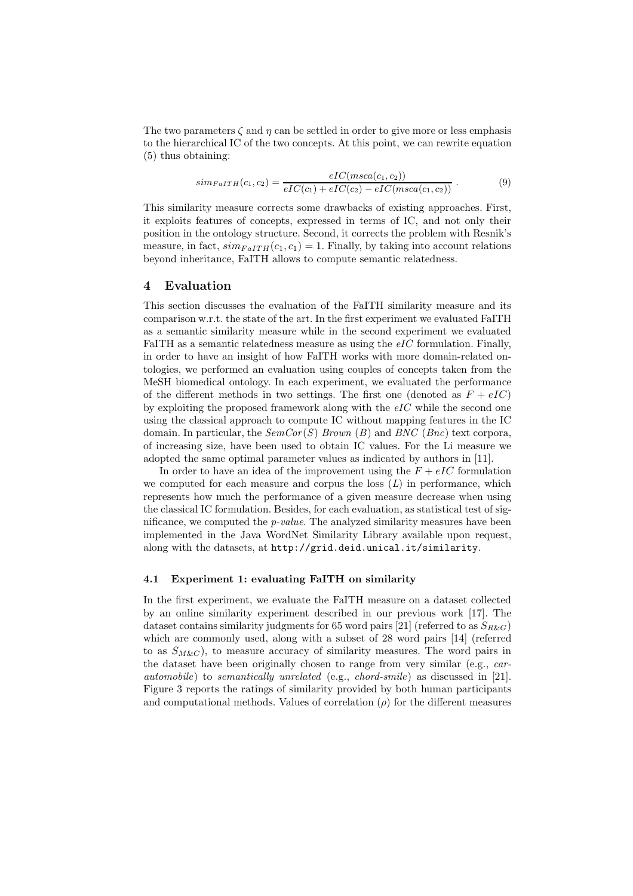The two parameters  $\zeta$  and  $\eta$  can be settled in order to give more or less emphasis to the hierarchical IC of the two concepts. At this point, we can rewrite equation (5) thus obtaining:

$$
sim_{FaITH}(c_1, c_2) = \frac{eIC(msca(c_1, c_2))}{eIC(c_1) + eIC(c_2) - eIC(msca(c_1, c_2))}.
$$
\n(9)

This similarity measure corrects some drawbacks of existing approaches. First, it exploits features of concepts, expressed in terms of IC, and not only their position in the ontology structure. Second, it corrects the problem with Resnik's measure, in fact,  $sim_{F_a I T H}(c_1, c_1) = 1$ . Finally, by taking into account relations beyond inheritance, FaITH allows to compute semantic relatedness.

### 4 Evaluation

This section discusses the evaluation of the FaITH similarity measure and its comparison w.r.t. the state of the art. In the first experiment we evaluated FaITH as a semantic similarity measure while in the second experiment we evaluated FaITH as a semantic relatedness measure as using the  $eIC$  formulation. Finally, in order to have an insight of how FaITH works with more domain-related ontologies, we performed an evaluation using couples of concepts taken from the MeSH biomedical ontology. In each experiment, we evaluated the performance of the different methods in two settings. The first one (denoted as  $F + eIC$ ) by exploiting the proposed framework along with the  $eIC$  while the second one using the classical approach to compute IC without mapping features in the IC domain. In particular, the  $SemCor(S) Brown(B)$  and  $BNC(Bnc)$  text corpora, of increasing size, have been used to obtain IC values. For the Li measure we adopted the same optimal parameter values as indicated by authors in [11].

In order to have an idea of the improvement using the  $F + eIC$  formulation we computed for each measure and corpus the loss  $(L)$  in performance, which represents how much the performance of a given measure decrease when using the classical IC formulation. Besides, for each evaluation, as statistical test of significance, we computed the  $p-value$ . The analyzed similarity measures have been implemented in the Java WordNet Similarity Library available upon request, along with the datasets, at http://grid.deid.unical.it/similarity.

#### 4.1 Experiment 1: evaluating FaITH on similarity

In the first experiment, we evaluate the FaITH measure on a dataset collected by an online similarity experiment described in our previous work [17]. The dataset contains similarity judgments for 65 word pairs [21] (referred to as  $S_{R\&G}$ ) which are commonly used, along with a subset of 28 word pairs [14] (referred to as  $S_{M\&C}$ , to measure accuracy of similarity measures. The word pairs in the dataset have been originally chosen to range from very similar (e.g., carautomobile) to semantically unrelated (e.g., chord-smile) as discussed in [21]. Figure 3 reports the ratings of similarity provided by both human participants and computational methods. Values of correlation  $(\rho)$  for the different measures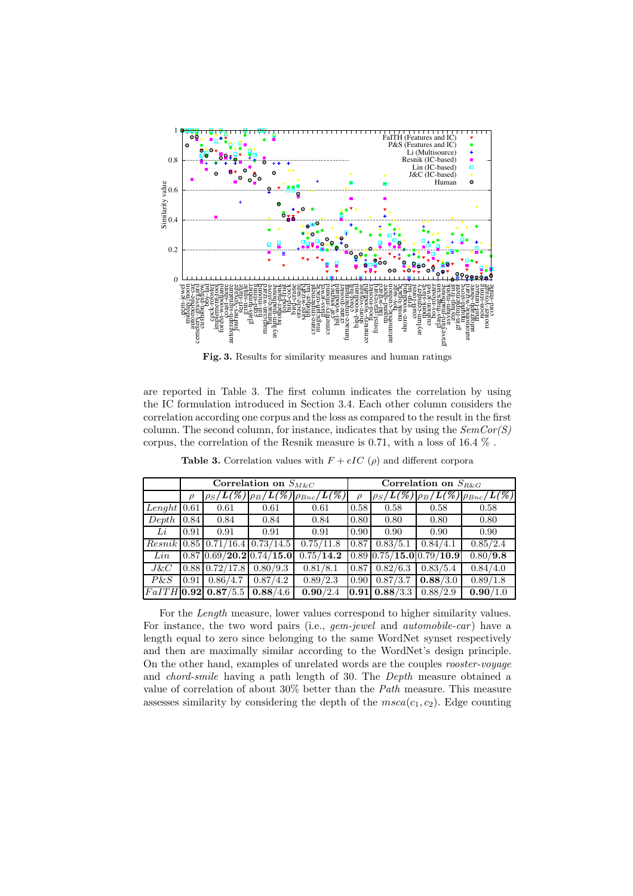

Fig. 3. Results for similarity measures and human ratings

are reported in Table 3. The first column indicates the correlation by using the IC formulation introduced in Section 3.4. Each other column considers the correlation according one corpus and the loss as compared to the result in the first column. The second column, for instance, indicates that by using the  $SemCor(S)$ corpus, the correlation of the Resnik measure is 0.71, with a loss of 16.4 % .

|                | Correlation on $S_{M\&C}$ |                       |                                   |                                              | Correlation on $S_{R\&G}$ |                            |          |                                                           |
|----------------|---------------------------|-----------------------|-----------------------------------|----------------------------------------------|---------------------------|----------------------------|----------|-----------------------------------------------------------|
|                | ρ                         |                       |                                   | $\rho_S/L(\%) \rho_B/L(\%) \rho_{Bnc}/L(\%)$ | $\rho$                    |                            |          | $\overline{\rho_S/L(\%)}\, \rho_B/L(\%) \rho_{Bnc}/L(\%)$ |
| $Lengtht$ 0.61 |                           | 0.61                  | 0.61                              | 0.61                                         | 0.58                      | 0.58                       | 0.58     | 0.58                                                      |
| Depth          | 0.84                      | 0.84                  | 0.84                              | 0.84                                         | 0.80                      | 0.80                       | 0.80     | 0.80                                                      |
| Li             | 0.91                      | 0.91                  | 0.91                              | 0.91                                         | 0.90                      | 0.90                       | 0.90     | 0.90                                                      |
|                |                           |                       | $Resnik$ 0.85 0.71/16.4 0.73/14.5 | 0.75/11.8                                    | 0.87                      | 0.83/5.1                   | 0.84/4.1 | 0.85/2.4                                                  |
| Lin            |                           |                       | $0.87$ $0.69$ /20.2 $0.74$ /15.0  | 0.75/14.2                                    |                           | $0.89$ 0.75/15.0 0.79/10.9 |          | 0.80 / 9.8                                                |
| $J\&C$         |                           | $0.88$ 0.72/17.8      | 0.80/9.3                          | 0.81/8.1                                     | 0.87                      | 0.82/6.3                   | 0.83/5.4 | 0.84/4.0                                                  |
| $P\&S$         | 0.91                      | 0.86/4.7              | 0.87/4.2                          | 0.89/2.3                                     | 0.90                      | 0.87/3.7                   | 0.88/3.0 | 0.89/1.8                                                  |
|                |                           | $FaITH$ 0.92 0.87/5.5 | 0.88/4.6                          | 0.90/2.4                                     | 0.91                      | 0.88/3.3                   | 0.88/2.9 | 0.90/1.0                                                  |

**Table 3.** Correlation values with  $F + eIC$  ( $\rho$ ) and different corpora

For the Length measure, lower values correspond to higher similarity values. For instance, the two word pairs (i.e.,  $gem$ -jewel and  $automobile-car)$  have a length equal to zero since belonging to the same WordNet synset respectively and then are maximally similar according to the WordNet's design principle. On the other hand, examples of unrelated words are the couples rooster-voyage and chord-smile having a path length of 30. The Depth measure obtained a value of correlation of about 30% better than the Path measure. This measure assesses similarity by considering the depth of the  $msca(c_1, c_2)$ . Edge counting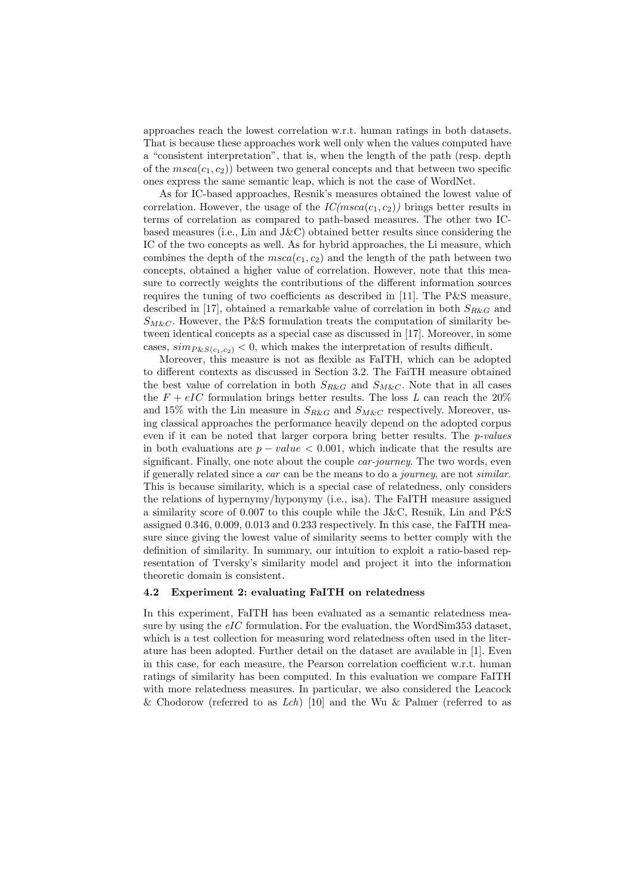approaches reach the lowest correlation w.r.t. human ratings in both datasets. That is because these approaches work well only when the values computed have a "consistent interpretation", that is, when the length of the path (resp. depth of the  $msca(c_1, c_2)$  between two general concepts and that between two specific ones express the same semantic leap, which is not the case of WordNet.

As for IC-based approaches, Resnik's measures obtained the lowest value of correlation. However, the usage of the  $IC(msca(c_1, c_2))$  brings better results in terms of correlation as compared to path-based measures. The other two ICbased measures (i.e., Lin and  $J\&C$ ) obtained better results since considering the IC of the two concepts as well. As for hybrid approaches, the Li measure, which combines the depth of the  $msca(c_1, c_2)$  and the length of the path between two concepts, obtained a higher value of correlation. However, note that this measure to correctly weights the contributions of the different information sources requires the tuning of two coefficients as described in [11]. The P&S measure, described in [17], obtained a remarkable value of correlation in both  $S_{R\&G}$  and  $S_{M\&C}$ . However, the P&S formulation treats the computation of similarity between identical concepts as a special case as discussed in [17]. Moreover, in some cases,  $\text{sim}_{P \& S(c_1,c_2)} < 0$ , which makes the interpretation of results difficult.

Moreover, this measure is not as flexible as FaITH, which can be adopted to different contexts as discussed in Section 3.2. The FaiTH measure obtained the best value of correlation in both  $S_{R\&G}$  and  $S_{M\&C}$ . Note that in all cases the  $F + eIC$  formulation brings better results. The loss L can reach the 20% and 15% with the Lin measure in  $S_{R\&G}$  and  $S_{M\&C}$  respectively. Moreover, using classical approaches the performance heavily depend on the adopted corpus even if it can be noted that larger corpora bring better results. The p-values in both evaluations are  $p - value < 0.001$ , which indicate that the results are significant. Finally, one note about the couple *car-journey*. The two words, even if generally related since a car can be the means to do a journey, are not similar. This is because similarity, which is a special case of relatedness, only considers the relations of hypernymy/hyponymy (i.e., isa). The FaITH measure assigned a similarity score of 0.007 to this couple while the J&C, Resnik, Lin and P&S assigned 0.346, 0.009, 0.013 and 0.233 respectively. In this case, the FaITH measure since giving the lowest value of similarity seems to better comply with the definition of similarity. In summary, our intuition to exploit a ratio-based representation of Tversky's similarity model and project it into the information theoretic domain is consistent.

#### 4.2 Experiment 2: evaluating FaITH on relatedness

In this experiment, FaITH has been evaluated as a semantic relatedness measure by using the  $eIC$  formulation. For the evaluation, the WordSim353 dataset, which is a test collection for measuring word relatedness often used in the literature has been adopted. Further detail on the dataset are available in [1]. Even in this case, for each measure, the Pearson correlation coefficient w.r.t. human ratings of similarity has been computed. In this evaluation we compare FaITH with more relatedness measures. In particular, we also considered the Leacock & Chodorow (referred to as  $Lch$ ) [10] and the Wu & Palmer (referred to as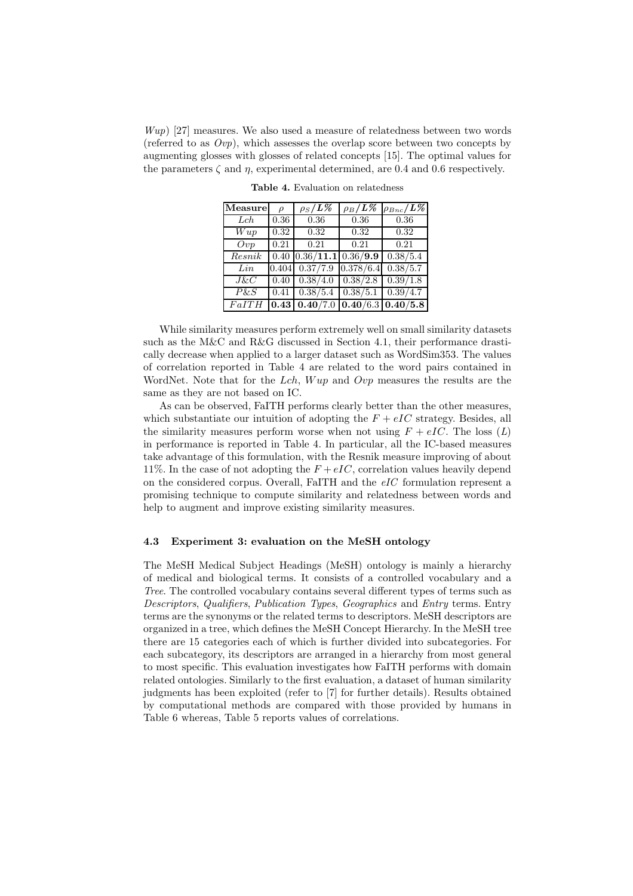$Wup$  [27] measures. We also used a measure of relatedness between two words (referred to as  $Ovp$ ), which assesses the overlap score between two concepts by augmenting glosses with glosses of related concepts [15]. The optimal values for the parameters  $\zeta$  and  $\eta$ , experimental determined, are 0.4 and 0.6 respectively.

| Measure | $\mathcal{O}$ | $\rho_S/L\%$                                                   | $\rho_B/L\%$ | $\rho_{Bnc}/L\%$ |
|---------|---------------|----------------------------------------------------------------|--------------|------------------|
| Lch     | 0.36          | $0.36\,$                                                       | 0.36         | 0.36             |
| Wup     | 0.32          | 0.32                                                           | 0.32         | 0.32             |
| Ovp     | 0.21          | 0.21                                                           | 0.21         | 0.21             |
| Resnik  |               | $\overline{0.40}$ $\overline{0.36/11.1}$ $\overline{0.36/9.9}$ |              | 0.38/5.4         |
| Lin     | 0.404         | 0.37/7.9                                                       | 0.378/6.4    | 0.38/5.7         |
| $J\&C$  | 0.40          | 0.38/4.0                                                       | 0.38/2.8     | 0.39/1.8         |
| $P\&S$  | 0.41          | 0.38/5.4                                                       | 0.38/5.1     | 0.39/4.7         |
| FaITH   |               | $\overline{0.43}$ 0.40/7.0                                     | 0.40/6.3     | 0.40/5.8         |

Table 4. Evaluation on relatedness

While similarity measures perform extremely well on small similarity datasets such as the M&C and R&G discussed in Section 4.1, their performance drastically decrease when applied to a larger dataset such as WordSim353. The values of correlation reported in Table 4 are related to the word pairs contained in WordNet. Note that for the Lch,  $Wup$  and  $Ovp$  measures the results are the same as they are not based on IC.

As can be observed, FaITH performs clearly better than the other measures, which substantiate our intuition of adopting the  $F + eIC$  strategy. Besides, all the similarity measures perform worse when not using  $F + eIC$ . The loss  $(L)$ in performance is reported in Table 4. In particular, all the IC-based measures take advantage of this formulation, with the Resnik measure improving of about 11%. In the case of not adopting the  $F + eIC$ , correlation values heavily depend on the considered corpus. Overall, FaITH and the eIC formulation represent a promising technique to compute similarity and relatedness between words and help to augment and improve existing similarity measures.

#### 4.3 Experiment 3: evaluation on the MeSH ontology

The MeSH Medical Subject Headings (MeSH) ontology is mainly a hierarchy of medical and biological terms. It consists of a controlled vocabulary and a Tree. The controlled vocabulary contains several different types of terms such as Descriptors, Qualifiers, Publication Types, Geographics and Entry terms. Entry terms are the synonyms or the related terms to descriptors. MeSH descriptors are organized in a tree, which defines the MeSH Concept Hierarchy. In the MeSH tree there are 15 categories each of which is further divided into subcategories. For each subcategory, its descriptors are arranged in a hierarchy from most general to most specific. This evaluation investigates how FaITH performs with domain related ontologies. Similarly to the first evaluation, a dataset of human similarity judgments has been exploited (refer to [7] for further details). Results obtained by computational methods are compared with those provided by humans in Table 6 whereas, Table 5 reports values of correlations.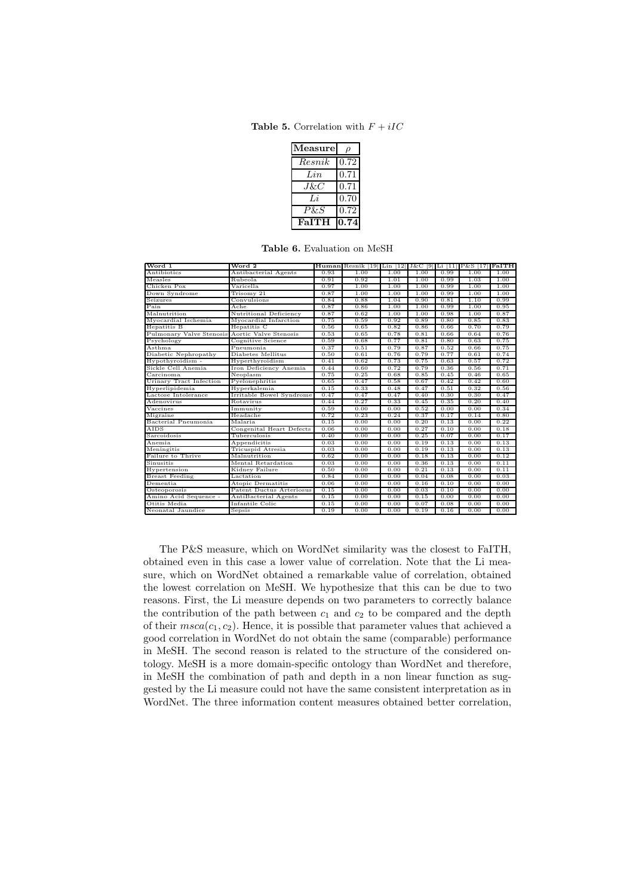**Table 5.** Correlation with  $F + iIC$ 

| Measure      | ρ    |  |  |  |
|--------------|------|--|--|--|
| Resnik       | 0.72 |  |  |  |
| Lin          | 0.71 |  |  |  |
| J&C          | 0.71 |  |  |  |
| Li           | 0.70 |  |  |  |
| $P\&S$       | 0.72 |  |  |  |
| <b>FaITH</b> | 0.74 |  |  |  |

Table 6. Evaluation on MeSH

| Word 1                                         | Word 2                   |      | Human Resnik [19] Lin [12] J&C [9] Li [11] P&S [17] FaITH |      |      |      |      |      |
|------------------------------------------------|--------------------------|------|-----------------------------------------------------------|------|------|------|------|------|
| Antibiotics                                    | Antibacterial Agents     | 0.93 | 1.00                                                      | 1.00 | 1.00 | 0.99 | 1.00 | 1.00 |
| Measles                                        | Rubeola                  | 0.91 | 0.92                                                      | 1.01 | 1.00 | 0.99 | 1.03 | 1.00 |
| Chicken Pox                                    | Varicella                | 0.97 | 1.00                                                      | 1.00 | 1.00 | 0.99 | 1.00 | 1.00 |
| Down Syndrome                                  | Trisomy 21               | 0.87 | 1.00                                                      | 1.00 | 1.00 | 0.99 | 1.00 | 1.00 |
| Seizures                                       | Convulsions              | 0.84 | 0.88                                                      | 1.04 | 0.90 | 0.81 | 1.10 | 0.99 |
| Pain                                           | $A$ che                  | 0.87 | 0.86                                                      | 1.00 | 1.00 | 0.99 | 1.00 | 0.95 |
| Malnutrition                                   | Nutritional Deficiency   | 0.87 | 0.62                                                      | 1.00 | 1.00 | 0.98 | 1.00 | 0.87 |
| Mvocardial Ischemia                            | Myocardial Infarction    | 0.75 | 0.59                                                      | 0.92 | 0.89 | 0.80 | 0.85 | 0.83 |
| Hepatitis B                                    | Hepatitis C              | 0.56 | 0.65                                                      | 0.82 | 0.86 | 0.66 | 0.70 | 0.79 |
| Pulmonary Valve Stenosis Aortic Valve Stenosis |                          | 0.53 | 0.65                                                      | 0.78 | 0.81 | 0.66 | 0.64 | 0.76 |
| Psychology                                     | Cognitive Science        | 0.59 | 0.68                                                      | 0.77 | 0.81 | 0.80 | 0.63 | 0.75 |
| Asthma                                         | Pneumonia                | 0.37 | 0.51                                                      | 0.79 | 0.87 | 0.52 | 0.66 | 0.75 |
| Diabetic Nephropathy                           | Diabetes Mellitus        | 0.50 | 0.61                                                      | 0.76 | 0.79 | 0.77 | 0.61 | 0.74 |
| Hypothyroidism -                               | Hyperthyroidism          | 0.41 | 0.62                                                      | 0.73 | 0.75 | 0.63 | 0.57 | 0.72 |
| Sickle Cell Anemia                             | Iron Deficiency Anemia   | 0.44 | 0.60                                                      | 0.72 | 0.79 | 0.36 | 0.56 | 0.71 |
| Carcinoma                                      | Neoplasm                 | 0.75 | 0.25                                                      | 0.68 | 0.85 | 0.45 | 0.46 | 0.65 |
| Urinary Tract Infection                        | Pyelonephritis           | 0.65 | 0.47                                                      | 0.58 | 0.67 | 0.42 | 0.42 | 0.60 |
| Hyperlipidemia                                 | Hyperkalemia             | 0.15 | 0.33                                                      | 0.48 | 0.47 | 0.51 | 0.32 | 0.56 |
| Lactose Intolerance                            | Irritable Bowel Syndrome | 0.47 | 0.47                                                      | 0.47 | 0.40 | 0.30 | 0.30 | 0.47 |
| Adenovirus                                     | Rotavirus                | 0.44 | 0.27                                                      | 0.33 | 0.45 | 0.35 | 0.20 | 0.40 |
| Vaccines                                       | Immunity                 | 0.59 | 0.00                                                      | 0.00 | 0.52 | 0.00 | 0.00 | 0.34 |
| Migraine                                       | Headache                 | 0.72 | 0.23                                                      | 0.24 | 0.37 | 0.17 | 0.14 | 0.80 |
| Bacterial Pneumonia                            | Malaria                  | 0.15 | 0.00                                                      | 0.00 | 0.20 | 0.13 | 0.00 | 0.22 |
| AIDS                                           | Congenital Heart Defects | 0.06 | 0.00                                                      | 0.00 | 0.27 | 0.10 | 0.00 | 0.18 |
| Sarcoidosis                                    | Tuberculosis             | 0.40 | 0.00                                                      | 0.00 | 0.25 | 0.07 | 0.00 | 0.17 |
| Anemia                                         | Appendicitis             | 0.03 | 0.00                                                      | 0.00 | 0.19 | 0.13 | 0.00 | 0.13 |
| Meningitis                                     | Tricuspid Atresia        | 0.03 | 0.00                                                      | 0.00 | 0.19 | 0.13 | 0.00 | 0.13 |
| Failure to Thrive                              | Malnutrition             | 0.62 | 0.00                                                      | 0.00 | 0.18 | 0.13 | 0.00 | 0.12 |
| Sinusitis                                      | Mental Retardation       | 0.03 | 0.00                                                      | 0.00 | 0.36 | 0.13 | 0.00 | 0.11 |
| Hypertension                                   | Kidney Failure           | 0.50 | 0.00                                                      | 0.00 | 0.21 | 0.13 | 0.00 | 0.11 |
| <b>Breast Feeding</b>                          | Lactation                | 0.84 | 0.00                                                      | 0.00 | 0.04 | 0.08 | 0.00 | 0.03 |
| Dementia                                       | Atopic Dermatitis        | 0.06 | 0.00                                                      | 0.00 | 0.16 | 0.10 | 0.00 | 0.00 |
| Osteoporosis                                   | Patent Ductus Arteriosus | 0.15 | 0.00                                                      | 0.00 | 0.03 | 0.10 | 0.00 | 0.00 |
| Amino Acid Sequence -                          | AntiBacterial Agents     | 0.15 | 0.00                                                      | 0.00 | 0.15 | 0.00 | 0.00 | 0.00 |
| Otitis Media                                   | Infantile Colic          | 0.15 | 0.00                                                      | 0.00 | 0.07 | 0.08 | 0.00 | 0.00 |
| Neonatal Jaundice                              | Sepsis                   | 0.19 | 0.00                                                      | 0.00 | 0.19 | 0.16 | 0.00 | 0.00 |

The P&S measure, which on WordNet similarity was the closest to FaITH, obtained even in this case a lower value of correlation. Note that the Li measure, which on WordNet obtained a remarkable value of correlation, obtained the lowest correlation on MeSH. We hypothesize that this can be due to two reasons. First, the Li measure depends on two parameters to correctly balance the contribution of the path between  $c_1$  and  $c_2$  to be compared and the depth of their  $msca(c_1, c_2)$ . Hence, it is possible that parameter values that achieved a good correlation in WordNet do not obtain the same (comparable) performance in MeSH. The second reason is related to the structure of the considered ontology. MeSH is a more domain-specific ontology than WordNet and therefore, in MeSH the combination of path and depth in a non linear function as suggested by the Li measure could not have the same consistent interpretation as in WordNet. The three information content measures obtained better correlation,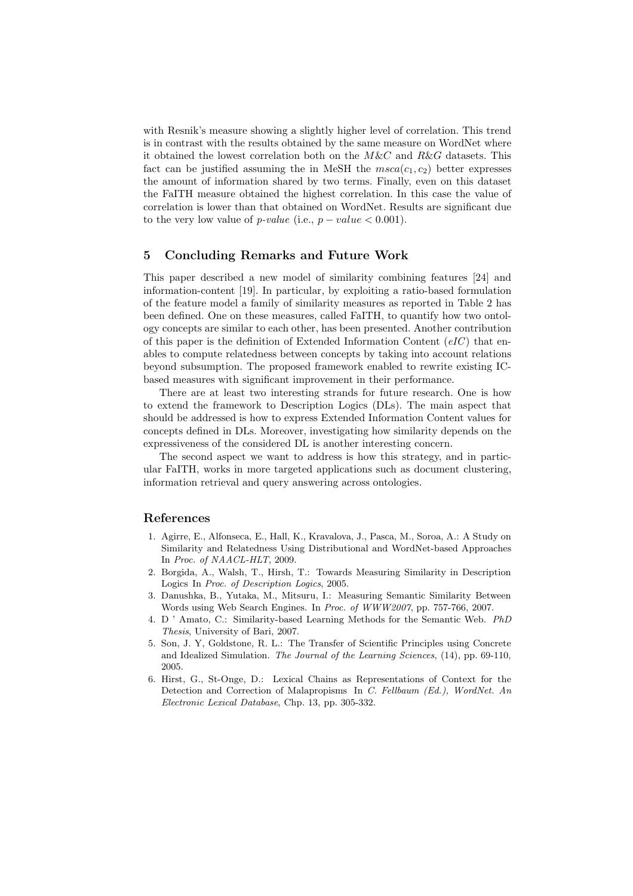with Resnik's measure showing a slightly higher level of correlation. This trend is in contrast with the results obtained by the same measure on WordNet where it obtained the lowest correlation both on the  $M\&C$  and  $R\&G$  datasets. This fact can be justified assuming the in MeSH the  $msca(c_1, c_2)$  better expresses the amount of information shared by two terms. Finally, even on this dataset the FaITH measure obtained the highest correlation. In this case the value of correlation is lower than that obtained on WordNet. Results are significant due to the very low value of *p-value* (i.e.,  $p-value < 0.001$ ).

### 5 Concluding Remarks and Future Work

This paper described a new model of similarity combining features [24] and information-content [19]. In particular, by exploiting a ratio-based formulation of the feature model a family of similarity measures as reported in Table 2 has been defined. One on these measures, called FaITH, to quantify how two ontology concepts are similar to each other, has been presented. Another contribution of this paper is the definition of Extended Information Content  $(eIC)$  that enables to compute relatedness between concepts by taking into account relations beyond subsumption. The proposed framework enabled to rewrite existing ICbased measures with significant improvement in their performance.

There are at least two interesting strands for future research. One is how to extend the framework to Description Logics (DLs). The main aspect that should be addressed is how to express Extended Information Content values for concepts defined in DLs. Moreover, investigating how similarity depends on the expressiveness of the considered DL is another interesting concern.

The second aspect we want to address is how this strategy, and in particular FaITH, works in more targeted applications such as document clustering, information retrieval and query answering across ontologies.

## References

- 1. Agirre, E., Alfonseca, E., Hall, K., Kravalova, J., Pasca, M., Soroa, A.: A Study on Similarity and Relatedness Using Distributional and WordNet-based Approaches In Proc. of NAACL-HLT, 2009.
- 2. Borgida, A., Walsh, T., Hirsh, T.: Towards Measuring Similarity in Description Logics In Proc. of Description Logics, 2005.
- 3. Danushka, B., Yutaka, M., Mitsuru, I.: Measuring Semantic Similarity Between Words using Web Search Engines. In Proc. of WWW2007, pp. 757-766, 2007.
- 4. D ' Amato, C.: Similarity-based Learning Methods for the Semantic Web. PhD Thesis, University of Bari, 2007.
- 5. Son, J. Y, Goldstone, R. L.: The Transfer of Scientific Principles using Concrete and Idealized Simulation. The Journal of the Learning Sciences, (14), pp. 69-110, 2005.
- 6. Hirst, G., St-Onge, D.: Lexical Chains as Representations of Context for the Detection and Correction of Malapropisms In C. Fellbaum (Ed.), WordNet. An Electronic Lexical Database, Chp. 13, pp. 305-332.